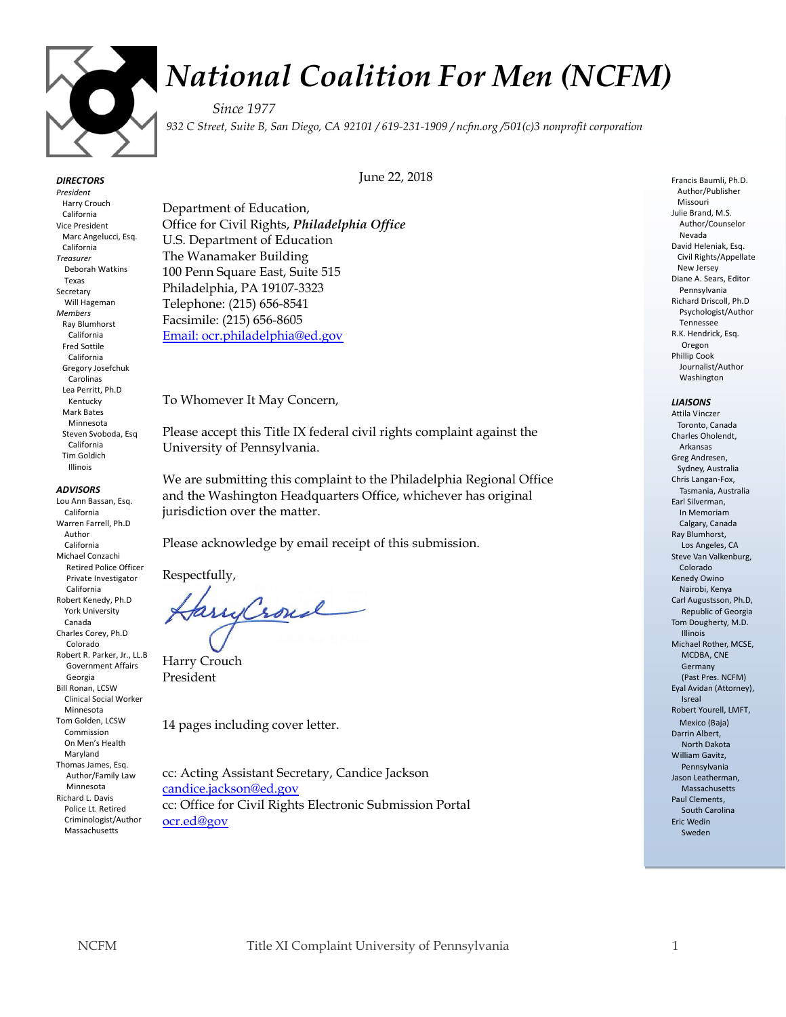

# *National Coalition For Men (NCFM)*

*Since 1977 932 C Street, Suite B, San Diego, CA 92101 / 619-231-1909 / ncfm.org /501(c)3 nonprofit corporation*

June 22, 2018

### *DIRECTORS*

*President* Harry Crouch California Vice President Marc Angelucci, Esq. California *Treasurer* Deborah Watkins Texas Secretary Will Hageman *Members* Ray Blumhorst California Fred Sottile California Gregory Josefchuk Carolinas Lea Perritt, Ph.D Kentucky Mark Bates Minnesota Steven Svoboda, Esq California Tim Goldich Illinois

#### *ADVISORS*

Lou Ann Bassan, Esq. California Warren Farrell, Ph.D Author California Michael Conzachi Retired Police Officer Private Investigator California Robert Kenedy, Ph.D York University Canada Charles Corey, Ph.D Colorado Robert R. Parker, Jr., LL.B Government Affairs Georgia Bill Ronan, LCSW Clinical Social Worker Minnesota Tom Golden, LCSW Commission On Men's Health Maryland Thomas James, Esq. Author/Family Law Minnesota Richard L. Davis Police Lt. Retired Criminologist/Author Massachusetts

Department of Education, Office for Civil Rights, *Philadelphia Office* U.S. Department of Education The Wanamaker Building 100 Penn Square East, Suite 515 Philadelphia, PA 19107-3323 Telephone: (215) 656-8541 Facsimile: (215) 656-8605 [Email: ocr.philadelphia@ed.gov](mailto:OCR.Philadelphia@ed.gov)

To Whomever It May Concern,

Please accept this Title IX federal civil rights complaint against the University of Pennsylvania.

We are submitting this complaint to the Philadelphia Regional Office and the Washington Headquarters Office, whichever has original jurisdiction over the matter.

Please acknowledge by email receipt of this submission.

Respectfully,

arryCroud

Harry Crouch President

14 pages including cover letter.

cc: Acting Assistant Secretary, Candice Jackson [candice.jackson@ed.gov](mailto:candice.jackson@ed.gov) cc: Office for Civil Rights Electronic Submission Portal [ocr.ed@gov](mailto:ocr.ed@gov) 

Francis Baumli, Ph.D. Author/Publisher Missouri Julie Brand, M.S. Author/Counselor Nevada David Heleniak, Esq. Civil Rights/Appellate New Jersey Diane A. Sears, Editor Pennsylvania Richard Driscoll, Ph.D Psychologist/Author Tennessee R.K. Hendrick, Esq. Oregon Phillip Cook Journalist/Author Washington

#### *LIAISONS*

Attila Vinczer Toronto, Canada Charles Oholendt, Arkansas Greg Andresen, Sydney, Australia Chris Langan-Fox, Tasmania, Australia Earl Silverman, In Memoriam Calgary, Canada Ray Blumhorst, Los Angeles, CA Steve Van Valkenburg, Colorado Kenedy Owino Nairobi, Kenya Carl Augustsson, Ph.D, Republic of Georgia Tom Dougherty, M.D. Illinois Michael Rother, MCSE, MCDBA, CNE Germany (Past Pres. NCFM) Eyal Avidan (Attorney), Isreal Robert Yourell, LMFT, Mexico (Baja) Darrin Albert, North Dakota William Gavitz, Pennsylvania Jason Leatherman, Massachusetts Paul Clements, South Carolina Eric Wedin Sweden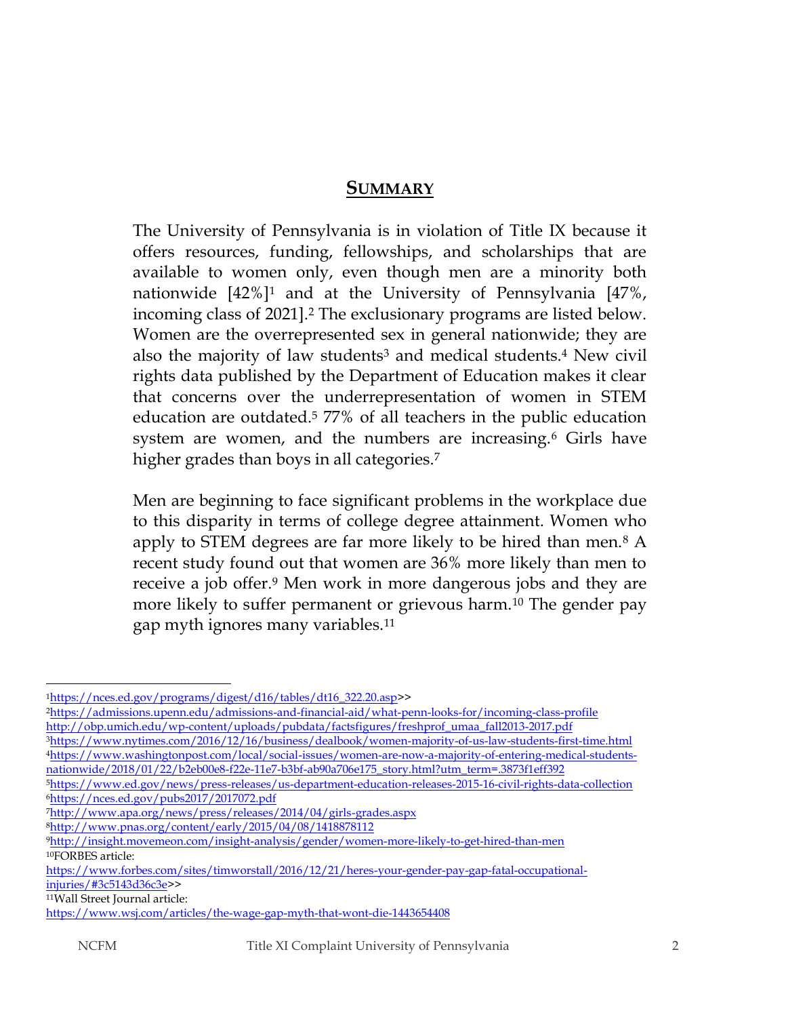## **SUMMARY**

The University of Pennsylvania is in violation of Title IX because it offers resources, funding, fellowships, and scholarships that are available to women only, even though men are a minority both nationwide  $[42\%]$ <sup>1</sup> and at the University of Pennsylvania  $[47\%]$ , incoming class of 2021].<sup>2</sup> The exclusionary programs are listed below. Women are the overrepresented sex in general nationwide; they are also the majority of law students<sup>3</sup> and medical students.<sup>4</sup> New civil rights data published by the Department of Education makes it clear that concerns over the underrepresentation of women in STEM education are outdated. <sup>5</sup> 77% of all teachers in the public education system are women, and the numbers are increasing.<sup>6</sup> Girls have higher grades than boys in all categories.<sup>7</sup>

Men are beginning to face significant problems in the workplace due to this disparity in terms of college degree attainment. Women who apply to STEM degrees are far more likely to be hired than men.<sup>8</sup> A recent study found out that women are 36% more likely than men to receive a job offer.<sup>9</sup> Men work in more dangerous jobs and they are more likely to suffer permanent or grievous harm.<sup>10</sup> The gender pay gap myth ignores many variables.<sup>11</sup>

<sup>11</sup>Wall Street Journal article:

<sup>1</sup>[https://nces.ed.gov/programs/digest/d16/tables/dt16\\_322.20.asp>](https://nces.ed.gov/programs/digest/d16/tables/dt16_322.20.asp)>

<sup>2</sup><https://admissions.upenn.edu/admissions-and-financial-aid/what-penn-looks-for/incoming-class-profile> [http://obp.umich.edu/wp-content/uploads/pubdata/factsfigures/freshprof\\_umaa\\_fall2013-2017.pdf](http://obp.umich.edu/wp-content/uploads/pubdata/factsfigures/freshprof_umaa_fall2013-2017.pdf)

<sup>3</sup><https://www.nytimes.com/2016/12/16/business/dealbook/women-majority-of-us-law-students-first-time.html> 4[https://www.washingtonpost.com/local/social-issues/women-are-now-a-majority-of-entering-medical-students](https://www.washingtonpost.com/local/social-issues/women-are-now-a-majority-of-entering-medical-students-nationwide/2018/01/22/b2eb00e8-f22e-11e7-b3bf-ab90a706e175_story.html?utm_term=.3873f1eff392)[nationwide/2018/01/22/b2eb00e8-f22e-11e7-b3bf-ab90a706e175\\_story.html?utm\\_term=.3873f1eff392](https://www.washingtonpost.com/local/social-issues/women-are-now-a-majority-of-entering-medical-students-nationwide/2018/01/22/b2eb00e8-f22e-11e7-b3bf-ab90a706e175_story.html?utm_term=.3873f1eff392)

<sup>5</sup><https://www.ed.gov/news/press-releases/us-department-education-releases-2015-16-civil-rights-data-collection> <sup>6</sup><https://nces.ed.gov/pubs2017/2017072.pdf>

<sup>7</sup><http://www.apa.org/news/press/releases/2014/04/girls-grades.aspx>

<sup>8</sup><http://www.pnas.org/content/early/2015/04/08/1418878112>

<sup>9</sup><http://insight.movemeon.com/insight-analysis/gender/women-more-likely-to-get-hired-than-men> <sup>10</sup>FORBES article:

[https://www.forbes.com/sites/timworstall/2016/12/21/heres-your-gender-pay-gap-fatal-occupational](https://www.forbes.com/sites/timworstall/2016/12/21/heres-your-gender-pay-gap-fatal-occupational-injuries/#3c5143d36c3e)[injuries/#3c5143d36c3e>](https://www.forbes.com/sites/timworstall/2016/12/21/heres-your-gender-pay-gap-fatal-occupational-injuries/#3c5143d36c3e)>

<https://www.wsj.com/articles/the-wage-gap-myth-that-wont-die-1443654408>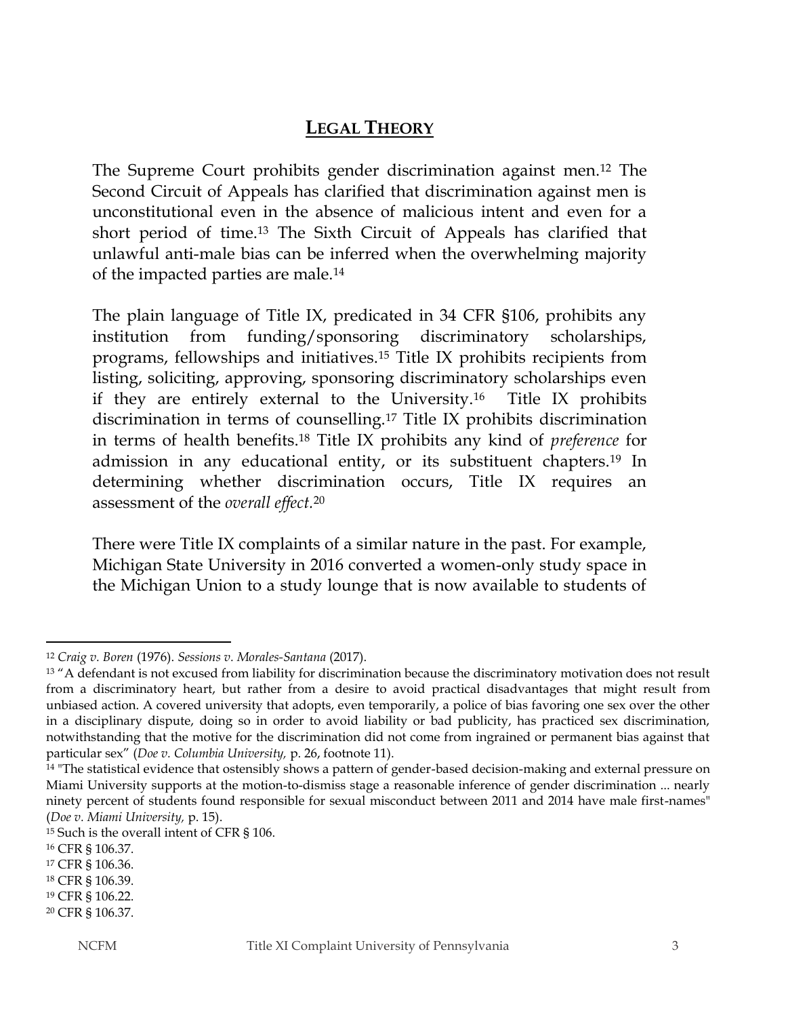# **LEGAL THEORY**

The Supreme Court prohibits gender discrimination against men.<sup>12</sup> The Second Circuit of Appeals has clarified that discrimination against men is unconstitutional even in the absence of malicious intent and even for a short period of time.<sup>13</sup> The Sixth Circuit of Appeals has clarified that unlawful anti-male bias can be inferred when the overwhelming majority of the impacted parties are male.<sup>14</sup>

The plain language of Title IX, predicated in 34 CFR §106, prohibits any institution from funding/sponsoring discriminatory scholarships, programs, fellowships and initiatives.<sup>15</sup> Title IX prohibits recipients from listing, soliciting, approving, sponsoring discriminatory scholarships even if they are entirely external to the University.16 Title IX prohibits discrimination in terms of counselling.<sup>17</sup> Title IX prohibits discrimination in terms of health benefits.<sup>18</sup> Title IX prohibits any kind of *preference* for admission in any educational entity, or its substituent chapters.<sup>19</sup> In determining whether discrimination occurs, Title IX requires an assessment of the *overall effect.*<sup>20</sup>

There were Title IX complaints of a similar nature in the past. For example, Michigan State University in 2016 converted a women-only study space in the Michigan Union to a study lounge that is now available to students of

l

<sup>12</sup> *Craig v. Boren* (1976). *Sessions v. Morales-Santana* (2017).

<sup>&</sup>lt;sup>13</sup> "A defendant is not excused from liability for discrimination because the discriminatory motivation does not result from a discriminatory heart, but rather from a desire to avoid practical disadvantages that might result from unbiased action. A covered university that adopts, even temporarily, a police of bias favoring one sex over the other in a disciplinary dispute, doing so in order to avoid liability or bad publicity, has practiced sex discrimination, notwithstanding that the motive for the discrimination did not come from ingrained or permanent bias against that particular sex" (*Doe v. Columbia University,* p. 26, footnote 11).

<sup>&</sup>lt;sup>14</sup> "The statistical evidence that ostensibly shows a pattern of gender-based decision-making and external pressure on Miami University supports at the motion-to-dismiss stage a reasonable inference of gender discrimination ... nearly ninety percent of students found responsible for sexual misconduct between 2011 and 2014 have male first-names" (*Doe v. Miami University,* p. 15).

<sup>15</sup> Such is the overall intent of CFR § 106.

<sup>16</sup> CFR § 106.37.

<sup>17</sup> CFR § 106.36.

<sup>18</sup> CFR § 106.39.

<sup>19</sup> CFR § 106.22.

<sup>20</sup> CFR § 106.37.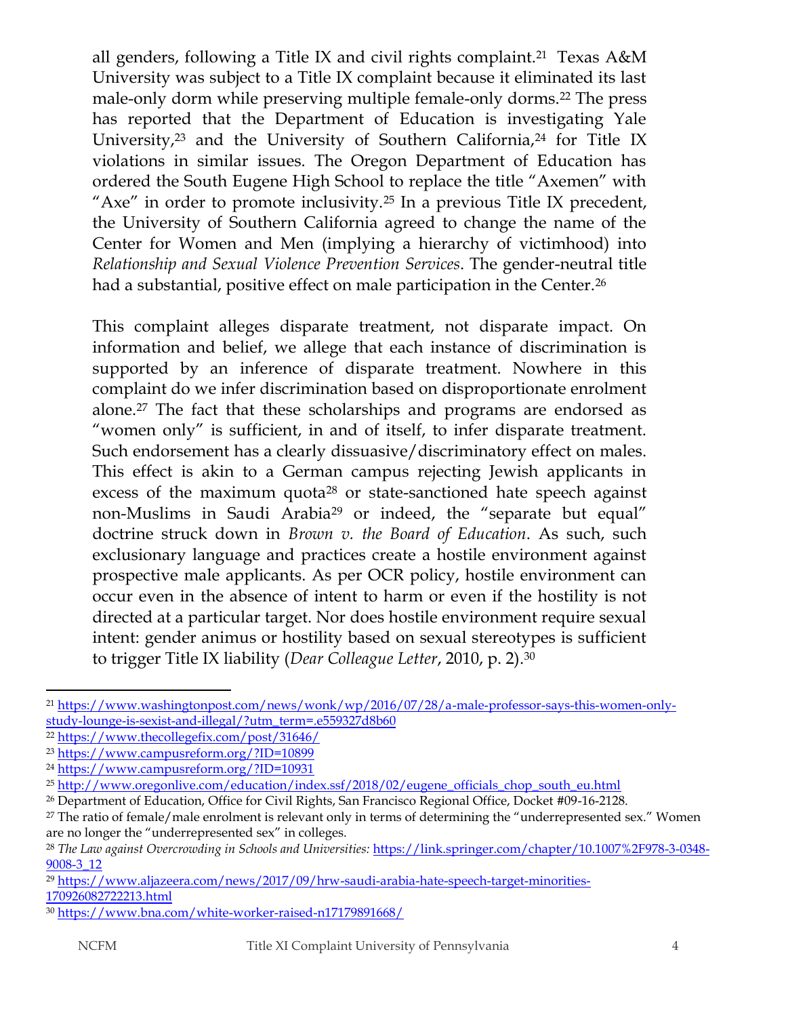all genders, following a Title IX and civil rights complaint.<sup>21</sup> Texas A&M University was subject to a Title IX complaint because it eliminated its last male-only dorm while preserving multiple female-only dorms.<sup>22</sup> The press has reported that the Department of Education is investigating Yale University,<sup>23</sup> and the University of Southern California,<sup>24</sup> for Title IX violations in similar issues. The Oregon Department of Education has ordered the South Eugene High School to replace the title "Axemen" with "Axe" in order to promote inclusivity.<sup>25</sup> In a previous Title IX precedent, the University of Southern California agreed to change the name of the Center for Women and Men (implying a hierarchy of victimhood) into *Relationship and Sexual Violence Prevention Services*. The gender-neutral title had a substantial, positive effect on male participation in the Center.<sup>26</sup>

This complaint alleges disparate treatment, not disparate impact. On information and belief, we allege that each instance of discrimination is supported by an inference of disparate treatment. Nowhere in this complaint do we infer discrimination based on disproportionate enrolment alone.<sup>27</sup> The fact that these scholarships and programs are endorsed as "women only" is sufficient, in and of itself, to infer disparate treatment. Such endorsement has a clearly dissuasive/discriminatory effect on males. This effect is akin to a German campus rejecting Jewish applicants in excess of the maximum quota<sup>28</sup> or state-sanctioned hate speech against non-Muslims in Saudi Arabia<sup>29</sup> or indeed, the "separate but equal" doctrine struck down in *Brown v. the Board of Education*. As such, such exclusionary language and practices create a hostile environment against prospective male applicants. As per OCR policy, hostile environment can occur even in the absence of intent to harm or even if the hostility is not directed at a particular target. Nor does hostile environment require sexual intent: gender animus or hostility based on sexual stereotypes is sufficient to trigger Title IX liability (*Dear Colleague Letter*, 2010, p. 2).<sup>30</sup>

<sup>21</sup> [https://www.washingtonpost.com/news/wonk/wp/2016/07/28/a-male-professor-says-this-women-only](https://www.washingtonpost.com/news/wonk/wp/2016/07/28/a-male-professor-says-this-women-only-study-lounge-is-sexist-and-illegal/?utm_term=.e559327d8b60)[study-lounge-is-sexist-and-illegal/?utm\\_term=.e559327d8b60](https://www.washingtonpost.com/news/wonk/wp/2016/07/28/a-male-professor-says-this-women-only-study-lounge-is-sexist-and-illegal/?utm_term=.e559327d8b60)

<sup>22</sup> <https://www.thecollegefix.com/post/31646/>

<sup>23</sup> <https://www.campusreform.org/?ID=10899>

<sup>24</sup> <https://www.campusreform.org/?ID=10931>

<sup>25</sup> [http://www.oregonlive.com/education/index.ssf/2018/02/eugene\\_officials\\_chop\\_south\\_eu.html](http://www.oregonlive.com/education/index.ssf/2018/02/eugene_officials_chop_south_eu.html)

<sup>26</sup> Department of Education, Office for Civil Rights, San Francisco Regional Office, Docket #09-16-2128.

<sup>&</sup>lt;sup>27</sup> The ratio of female/male enrolment is relevant only in terms of determining the "underrepresented sex." Women are no longer the "underrepresented sex" in colleges.

<sup>&</sup>lt;sup>28</sup> The Law against Overcrowding in Schools and Universities: [https://link.springer.com/chapter/10.1007%2F978-3-0348-](https://link.springer.com/chapter/10.1007%2F978-3-0348-9008-3_12) [9008-3\\_12](https://link.springer.com/chapter/10.1007%2F978-3-0348-9008-3_12)

<sup>29</sup> [https://www.aljazeera.com/news/2017/09/hrw-saudi-arabia-hate-speech-target-minorities-](https://www.aljazeera.com/news/2017/09/hrw-saudi-arabia-hate-speech-target-minorities-170926082722213.html)[170926082722213.html](https://www.aljazeera.com/news/2017/09/hrw-saudi-arabia-hate-speech-target-minorities-170926082722213.html)

<sup>30</sup> <https://www.bna.com/white-worker-raised-n17179891668/>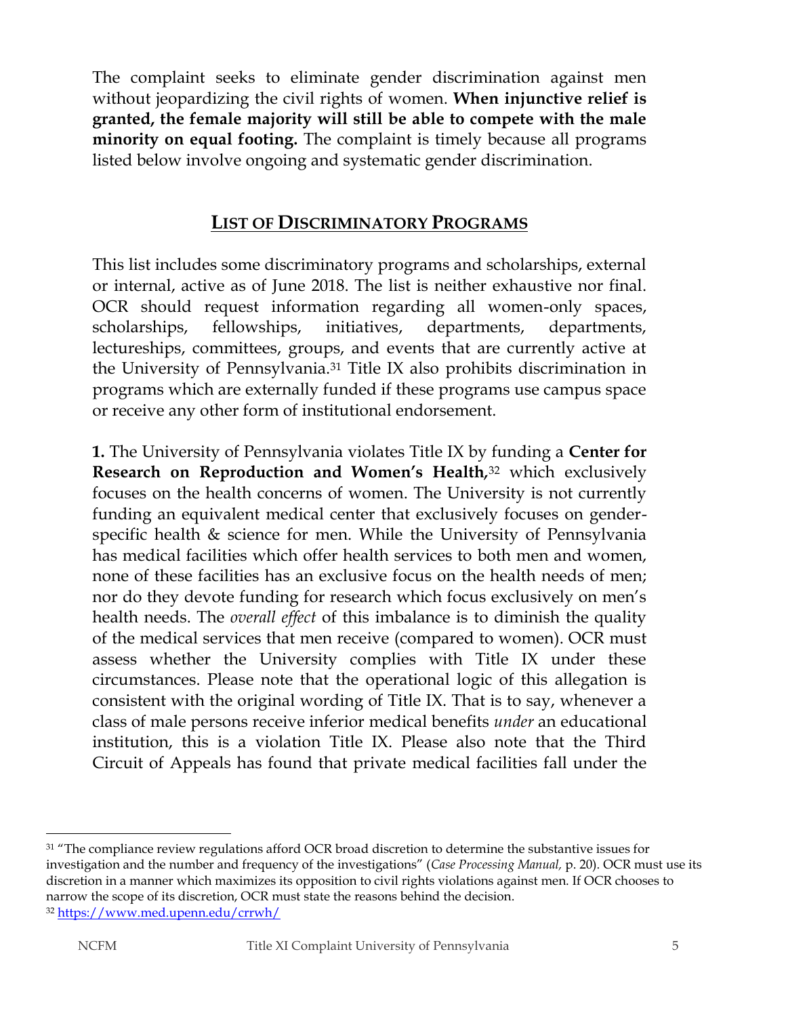The complaint seeks to eliminate gender discrimination against men without jeopardizing the civil rights of women. **When injunctive relief is granted, the female majority will still be able to compete with the male minority on equal footing.** The complaint is timely because all programs listed below involve ongoing and systematic gender discrimination.

# **LIST OF DISCRIMINATORY PROGRAMS**

This list includes some discriminatory programs and scholarships, external or internal, active as of June 2018. The list is neither exhaustive nor final. OCR should request information regarding all women-only spaces, scholarships, fellowships, initiatives, departments, departments, lectureships, committees, groups, and events that are currently active at the University of Pennsylvania.<sup>31</sup> Title IX also prohibits discrimination in programs which are externally funded if these programs use campus space or receive any other form of institutional endorsement.

**1.** The University of Pennsylvania violates Title IX by funding a **Center for Research on Reproduction and Women's Health***,* <sup>32</sup> which exclusively focuses on the health concerns of women. The University is not currently funding an equivalent medical center that exclusively focuses on genderspecific health & science for men. While the University of Pennsylvania has medical facilities which offer health services to both men and women, none of these facilities has an exclusive focus on the health needs of men; nor do they devote funding for research which focus exclusively on men's health needs. The *overall effect* of this imbalance is to diminish the quality of the medical services that men receive (compared to women). OCR must assess whether the University complies with Title IX under these circumstances. Please note that the operational logic of this allegation is consistent with the original wording of Title IX. That is to say, whenever a class of male persons receive inferior medical benefits *under* an educational institution, this is a violation Title IX. Please also note that the Third Circuit of Appeals has found that private medical facilities fall under the

l

<sup>&</sup>lt;sup>31</sup> "The compliance review regulations afford OCR broad discretion to determine the substantive issues for investigation and the number and frequency of the investigations" (*Case Processing Manual,* p. 20). OCR must use its discretion in a manner which maximizes its opposition to civil rights violations against men. If OCR chooses to narrow the scope of its discretion, OCR must state the reasons behind the decision.

<sup>32</sup> <https://www.med.upenn.edu/crrwh/>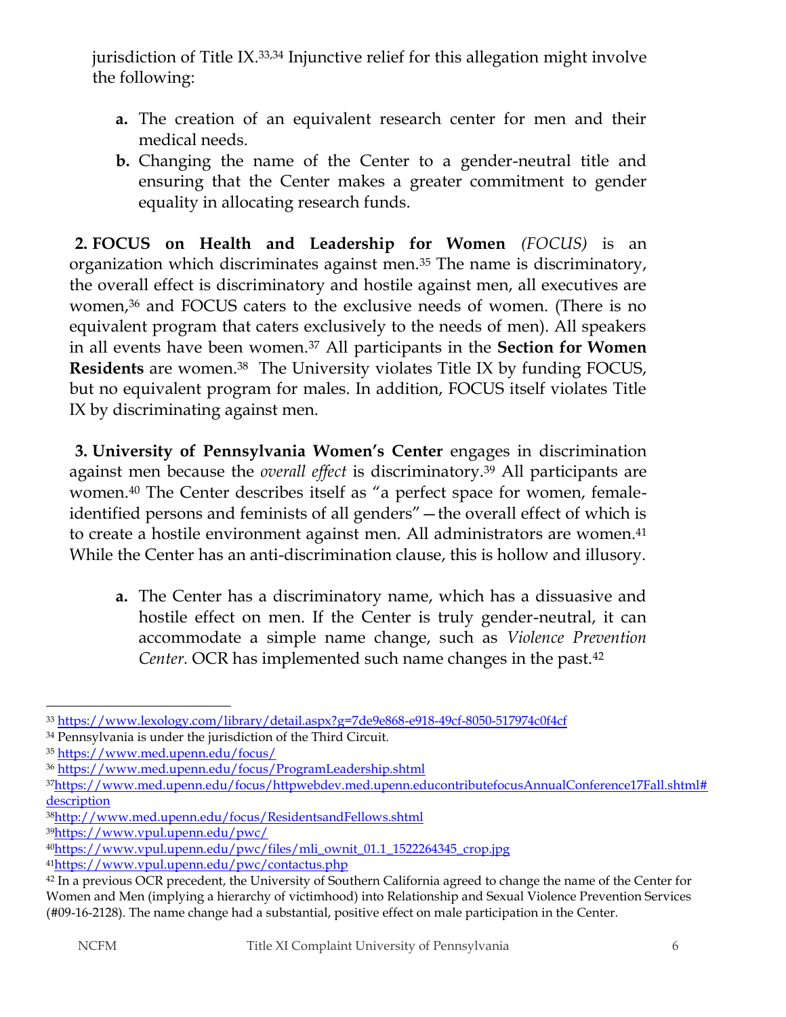jurisdiction of Title IX.33,34 Injunctive relief for this allegation might involve the following:

- **a.** The creation of an equivalent research center for men and their medical needs.
- **b.** Changing the name of the Center to a gender-neutral title and ensuring that the Center makes a greater commitment to gender equality in allocating research funds.

**2. FOCUS on Health and Leadership for Women** *(FOCUS)* is an organization which discriminates against men.<sup>35</sup> The name is discriminatory, the overall effect is discriminatory and hostile against men, all executives are women,<sup>36</sup> and FOCUS caters to the exclusive needs of women. (There is no equivalent program that caters exclusively to the needs of men). All speakers in all events have been women.<sup>37</sup> All participants in the **Section for Women Residents** are women.38 The University violates Title IX by funding FOCUS, but no equivalent program for males. In addition, FOCUS itself violates Title IX by discriminating against men.

**3. University of Pennsylvania Women's Center** engages in discrimination against men because the *overall effect* is discriminatory.<sup>39</sup> All participants are women.<sup>40</sup> The Center describes itself as "a perfect space for women, femaleidentified persons and feminists of all genders"—the overall effect of which is to create a hostile environment against men. All administrators are women.<sup>41</sup> While the Center has an anti-discrimination clause, this is hollow and illusory.

**a.** The Center has a discriminatory name, which has a dissuasive and hostile effect on men. If the Center is truly gender-neutral, it can accommodate a simple name change, such as *Violence Prevention Center.* OCR has implemented such name changes in the past.<sup>42</sup>

<sup>39</sup><https://www.vpul.upenn.edu/pwc/>

 $\overline{\phantom{a}}$ <sup>33</sup> <https://www.lexology.com/library/detail.aspx?g=7de9e868-e918-49cf-8050-517974c0f4cf>

<sup>34</sup> Pennsylvania is under the jurisdiction of the Third Circuit.

<sup>35</sup> <https://www.med.upenn.edu/focus/>

<sup>36</sup> <https://www.med.upenn.edu/focus/ProgramLeadership.shtml>

<sup>37</sup>[https://www.med.upenn.edu/focus/httpwebdev.med.upenn.educontributefocusAnnualConference17Fall.shtml#](https://www.med.upenn.edu/focus/httpwebdev.med.upenn.educontributefocusAnnualConference17Fall.shtml#description) [description](https://www.med.upenn.edu/focus/httpwebdev.med.upenn.educontributefocusAnnualConference17Fall.shtml#description)

<sup>38</sup><http://www.med.upenn.edu/focus/ResidentsandFellows.shtml>

<sup>40</sup>[https://www.vpul.upenn.edu/pwc/files/mli\\_ownit\\_01.1\\_1522264345\\_crop.jpg](https://www.vpul.upenn.edu/pwc/files/mli_ownit_01.1_1522264345_crop.jpg) <sup>41</sup><https://www.vpul.upenn.edu/pwc/contactus.php>

<sup>&</sup>lt;sup>42</sup> In a previous OCR precedent, the University of Southern California agreed to change the name of the Center for Women and Men (implying a hierarchy of victimhood) into Relationship and Sexual Violence Prevention Services (#09-16-2128). The name change had a substantial, positive effect on male participation in the Center.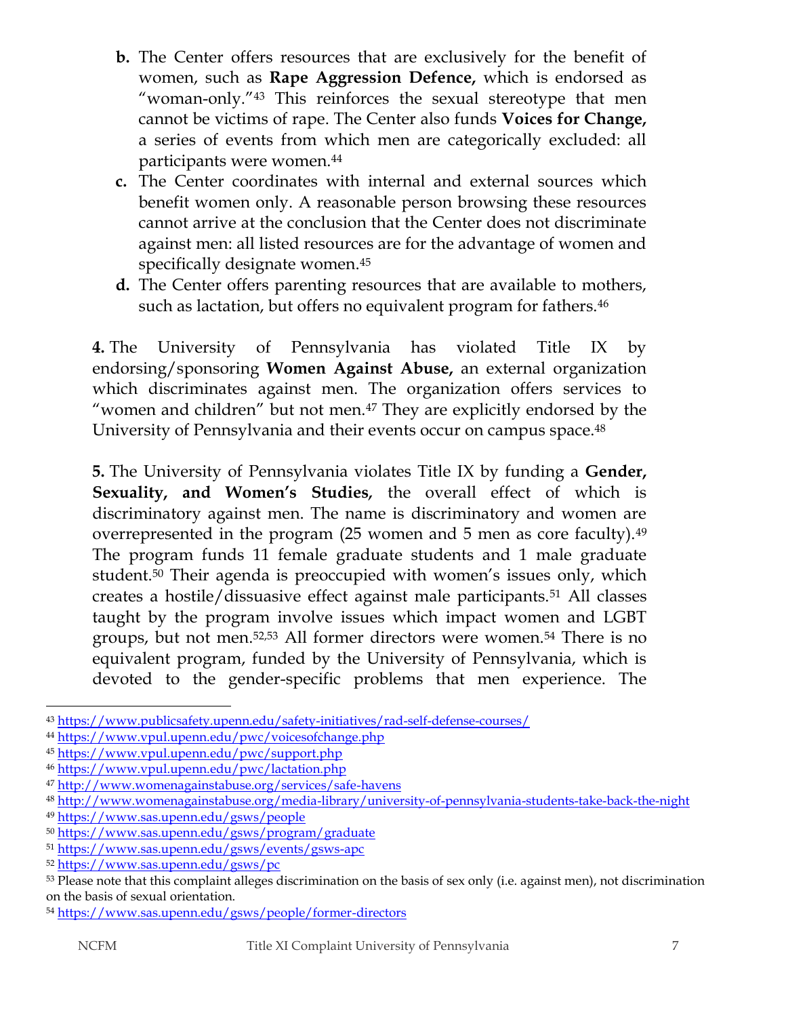- **b.** The Center offers resources that are exclusively for the benefit of women, such as **Rape Aggression Defence,** which is endorsed as "woman-only."<sup>43</sup> This reinforces the sexual stereotype that men cannot be victims of rape. The Center also funds **Voices for Change,** a series of events from which men are categorically excluded: all participants were women.<sup>44</sup>
- **c.** The Center coordinates with internal and external sources which benefit women only. A reasonable person browsing these resources cannot arrive at the conclusion that the Center does not discriminate against men: all listed resources are for the advantage of women and specifically designate women.<sup>45</sup>
- **d.** The Center offers parenting resources that are available to mothers, such as lactation, but offers no equivalent program for fathers.<sup>46</sup>

**4.** The University of Pennsylvania has violated Title IX by endorsing/sponsoring **Women Against Abuse,** an external organization which discriminates against men. The organization offers services to "women and children" but not men.<sup>47</sup> They are explicitly endorsed by the University of Pennsylvania and their events occur on campus space.<sup>48</sup>

**5.** The University of Pennsylvania violates Title IX by funding a **Gender, Sexuality, and Women's Studies***,* the overall effect of which is discriminatory against men. The name is discriminatory and women are overrepresented in the program (25 women and 5 men as core faculty).<sup>49</sup> The program funds 11 female graduate students and 1 male graduate student.<sup>50</sup> Their agenda is preoccupied with women's issues only, which creates a hostile/dissuasive effect against male participants.<sup>51</sup> All classes taught by the program involve issues which impact women and LGBT groups, but not men.52,53 All former directors were women.<sup>54</sup> There is no equivalent program, funded by the University of Pennsylvania, which is devoted to the gender-specific problems that men experience. The

 $\overline{\phantom{a}}$ <sup>43</sup> <https://www.publicsafety.upenn.edu/safety-initiatives/rad-self-defense-courses/>

<sup>44</sup> <https://www.vpul.upenn.edu/pwc/voicesofchange.php>

<sup>45</sup> <https://www.vpul.upenn.edu/pwc/support.php>

<sup>46</sup> <https://www.vpul.upenn.edu/pwc/lactation.php>

<sup>47</sup> <http://www.womenagainstabuse.org/services/safe-havens>

<sup>48</sup> <http://www.womenagainstabuse.org/media-library/university-of-pennsylvania-students-take-back-the-night>

<sup>49</sup> <https://www.sas.upenn.edu/gsws/people>

<sup>50</sup> <https://www.sas.upenn.edu/gsws/program/graduate>

<sup>51</sup> <https://www.sas.upenn.edu/gsws/events/gsws-apc>

<sup>52</sup> <https://www.sas.upenn.edu/gsws/pc>

<sup>53</sup> Please note that this complaint alleges discrimination on the basis of sex only (i.e. against men), not discrimination on the basis of sexual orientation.

<sup>54</sup> <https://www.sas.upenn.edu/gsws/people/former-directors>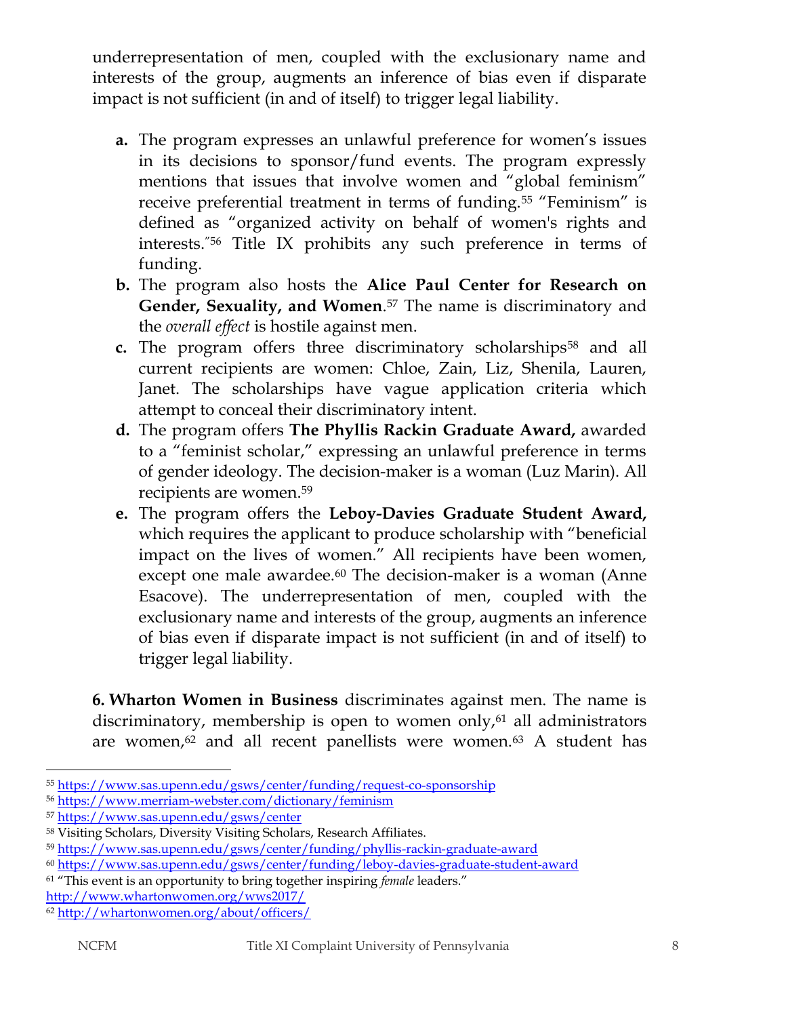underrepresentation of men, coupled with the exclusionary name and interests of the group, augments an inference of bias even if disparate impact is not sufficient (in and of itself) to trigger legal liability.

- **a.** The program expresses an unlawful preference for women's issues in its decisions to sponsor/fund events. The program expressly mentions that issues that involve women and "global feminism" receive preferential treatment in terms of funding.<sup>55</sup> "Feminism" is defined as "organized activity on behalf of women's rights and interests."<sup>56</sup> Title IX prohibits any such preference in terms of funding.
- **b.** The program also hosts the **Alice Paul Center for Research on Gender, Sexuality, and Women**. <sup>57</sup> The name is discriminatory and the *overall effect* is hostile against men.
- **c.** The program offers three discriminatory scholarships<sup>58</sup> and all current recipients are women: Chloe, Zain, Liz, Shenila, Lauren, Janet. The scholarships have vague application criteria which attempt to conceal their discriminatory intent.
- **d.** The program offers **The Phyllis Rackin Graduate Award,** awarded to a "feminist scholar," expressing an unlawful preference in terms of gender ideology. The decision-maker is a woman (Luz Marin). All recipients are women.<sup>59</sup>
- **e.** The program offers the **Leboy-Davies Graduate Student Award,** which requires the applicant to produce scholarship with "beneficial impact on the lives of women." All recipients have been women, except one male awardee.<sup>60</sup> The decision-maker is a woman (Anne Esacove). The underrepresentation of men, coupled with the exclusionary name and interests of the group, augments an inference of bias even if disparate impact is not sufficient (in and of itself) to trigger legal liability.

**6. Wharton Women in Business** discriminates against men. The name is discriminatory, membership is open to women only,<sup>61</sup> all administrators are women, $62$  and all recent panellists were women. $63$  A student has

<sup>55</sup> <https://www.sas.upenn.edu/gsws/center/funding/request-co-sponsorship>

<sup>56</sup> <https://www.merriam-webster.com/dictionary/feminism>

<sup>57</sup> <https://www.sas.upenn.edu/gsws/center>

<sup>58</sup> Visiting Scholars, Diversity Visiting Scholars, Research Affiliates.

<sup>59</sup> <https://www.sas.upenn.edu/gsws/center/funding/phyllis-rackin-graduate-award>

<sup>60</sup> <https://www.sas.upenn.edu/gsws/center/funding/leboy-davies-graduate-student-award>

<sup>61</sup> "This event is an opportunity to bring together inspiring *female* leaders." <http://www.whartonwomen.org/wws2017/>

<sup>62</sup> <http://whartonwomen.org/about/officers/>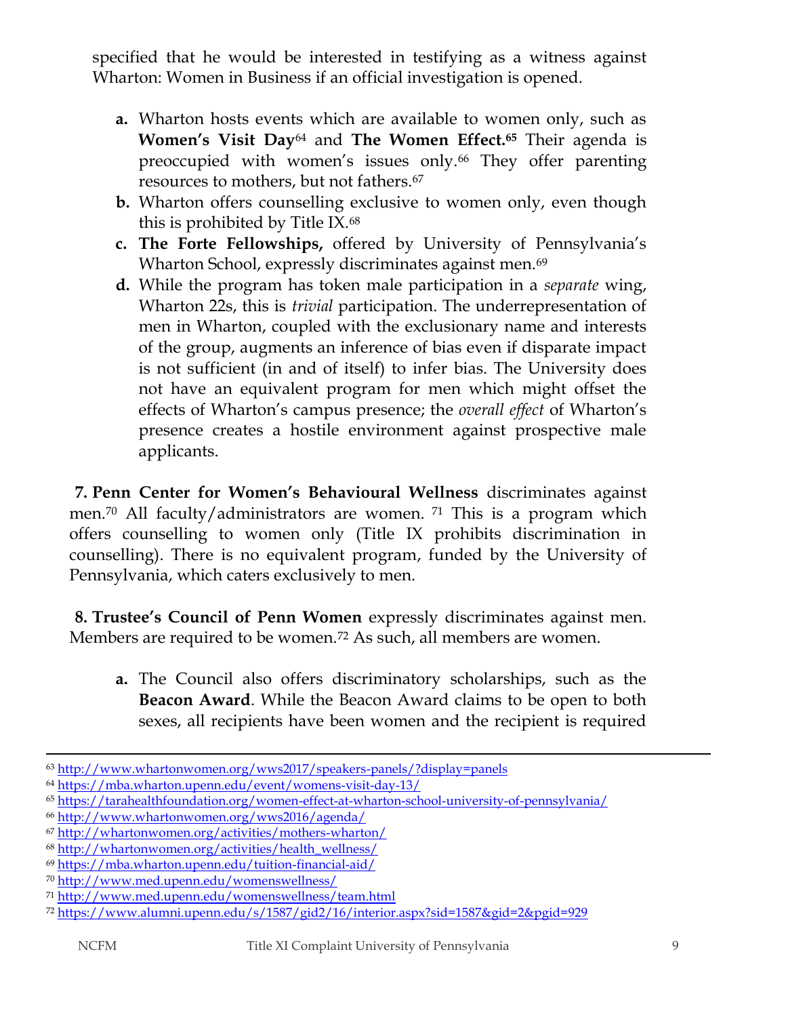specified that he would be interested in testifying as a witness against Wharton: Women in Business if an official investigation is opened.

- **a.** Wharton hosts events which are available to women only, such as **Women's Visit Day**<sup>64</sup> and **The Women Effect.<sup>65</sup>** Their agenda is preoccupied with women's issues only.<sup>66</sup> They offer parenting resources to mothers, but not fathers.<sup>67</sup>
- **b.** Wharton offers counselling exclusive to women only, even though this is prohibited by Title IX.<sup>68</sup>
- **c. The Forte Fellowships,** offered by University of Pennsylvania's Wharton School, expressly discriminates against men.<sup>69</sup>
- **d.** While the program has token male participation in a *separate* wing, Wharton 22s, this is *trivial* participation. The underrepresentation of men in Wharton, coupled with the exclusionary name and interests of the group, augments an inference of bias even if disparate impact is not sufficient (in and of itself) to infer bias. The University does not have an equivalent program for men which might offset the effects of Wharton's campus presence; the *overall effect* of Wharton's presence creates a hostile environment against prospective male applicants.

**7. Penn Center for Women's Behavioural Wellness** discriminates against men.<sup>70</sup> All faculty/administrators are women. <sup>71</sup> This is a program which offers counselling to women only (Title IX prohibits discrimination in counselling). There is no equivalent program, funded by the University of Pennsylvania, which caters exclusively to men.

**8. Trustee's Council of Penn Women** expressly discriminates against men. Members are required to be women.<sup>72</sup> As such, all members are women.

**a.** The Council also offers discriminatory scholarships, such as the **Beacon Award**. While the Beacon Award claims to be open to both sexes, all recipients have been women and the recipient is required

<sup>63</sup> <http://www.whartonwomen.org/wws2017/speakers-panels/?display=panels>

<sup>64</sup> <https://mba.wharton.upenn.edu/event/womens-visit-day-13/>

<sup>65</sup> <https://tarahealthfoundation.org/women-effect-at-wharton-school-university-of-pennsylvania/>

<sup>66</sup> <http://www.whartonwomen.org/wws2016/agenda/>

<sup>67</sup> <http://whartonwomen.org/activities/mothers-wharton/>

<sup>68</sup> [http://whartonwomen.org/activities/health\\_wellness/](http://whartonwomen.org/activities/health_wellness/)

<sup>69</sup> <https://mba.wharton.upenn.edu/tuition-financial-aid/>

<sup>70</sup> <http://www.med.upenn.edu/womenswellness/>

<sup>71</sup> <http://www.med.upenn.edu/womenswellness/team.html>

<sup>72</sup> <https://www.alumni.upenn.edu/s/1587/gid2/16/interior.aspx?sid=1587&gid=2&pgid=929>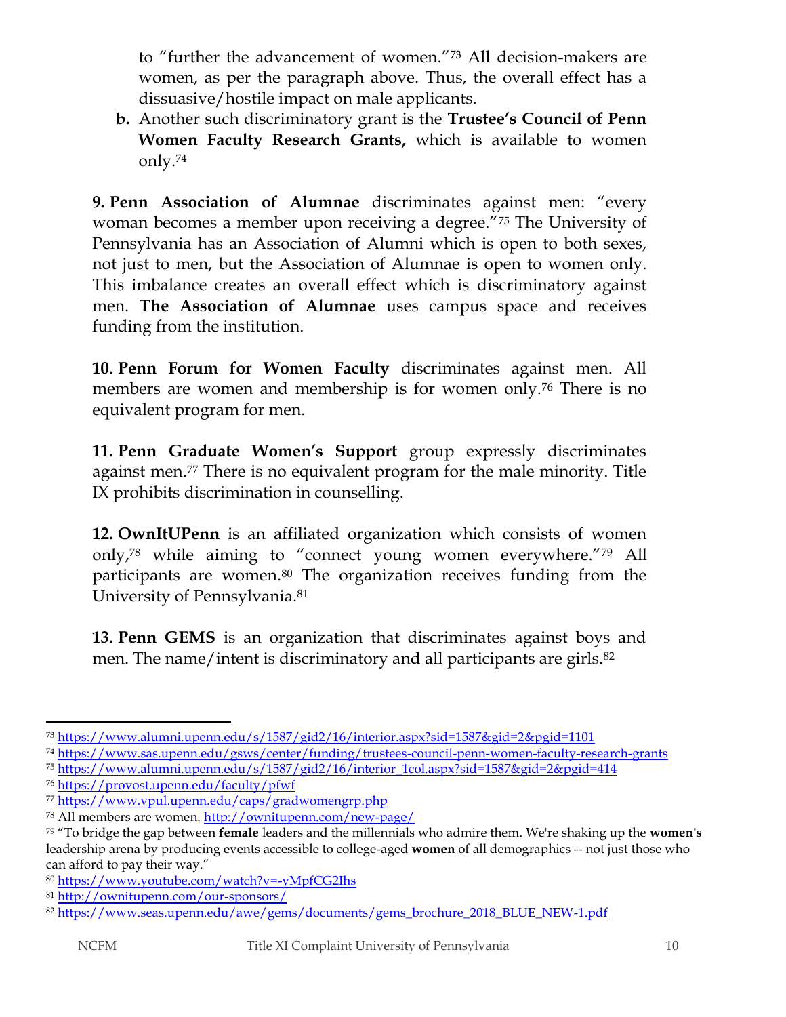to "further the advancement of women."<sup>73</sup> All decision-makers are women, as per the paragraph above. Thus, the overall effect has a dissuasive/hostile impact on male applicants.

**b.** Another such discriminatory grant is the **Trustee's Council of Penn Women Faculty Research Grants,** which is available to women only.<sup>74</sup>

**9. Penn Association of Alumnae** discriminates against men: "every woman becomes a member upon receiving a degree."<sup>75</sup> The University of Pennsylvania has an Association of Alumni which is open to both sexes, not just to men, but the Association of Alumnae is open to women only. This imbalance creates an overall effect which is discriminatory against men. **The Association of Alumnae** uses campus space and receives funding from the institution.

**10. Penn Forum for Women Faculty** discriminates against men. All members are women and membership is for women only.<sup>76</sup> There is no equivalent program for men.

**11. Penn Graduate Women's Support** group expressly discriminates against men.<sup>77</sup> There is no equivalent program for the male minority. Title IX prohibits discrimination in counselling.

**12. OwnItUPenn** is an affiliated organization which consists of women only,<sup>78</sup> while aiming to "connect young women everywhere."<sup>79</sup> All participants are women.<sup>80</sup> The organization receives funding from the University of Pennsylvania.<sup>81</sup>

**13. Penn GEMS** is an organization that discriminates against boys and men. The name/intent is discriminatory and all participants are girls.<sup>82</sup>

 $\overline{a}$ <sup>73</sup> <https://www.alumni.upenn.edu/s/1587/gid2/16/interior.aspx?sid=1587&gid=2&pgid=1101>

<sup>74</sup> <https://www.sas.upenn.edu/gsws/center/funding/trustees-council-penn-women-faculty-research-grants>

<sup>75</sup> [https://www.alumni.upenn.edu/s/1587/gid2/16/interior\\_1col.aspx?sid=1587&gid=2&pgid=414](https://www.alumni.upenn.edu/s/1587/gid2/16/interior_1col.aspx?sid=1587&gid=2&pgid=414)

<sup>76</sup> <https://provost.upenn.edu/faculty/pfwf>

<sup>77</sup> <https://www.vpul.upenn.edu/caps/gradwomengrp.php>

<sup>78</sup> All members are women.<http://ownitupenn.com/new-page/>

<sup>79</sup> "To bridge the gap between **female** leaders and the millennials who admire them. We're shaking up the **women's**  leadership arena by producing events accessible to college-aged **women** of all demographics -- not just those who can afford to pay their way."

<sup>80</sup> <https://www.youtube.com/watch?v=-yMpfCG2Ihs>

<sup>81</sup> <http://ownitupenn.com/our-sponsors/>

<sup>82</sup> [https://www.seas.upenn.edu/awe/gems/documents/gems\\_brochure\\_2018\\_BLUE\\_NEW-1.pdf](https://www.seas.upenn.edu/awe/gems/documents/gems_brochure_2018_BLUE_NEW-1.pdf)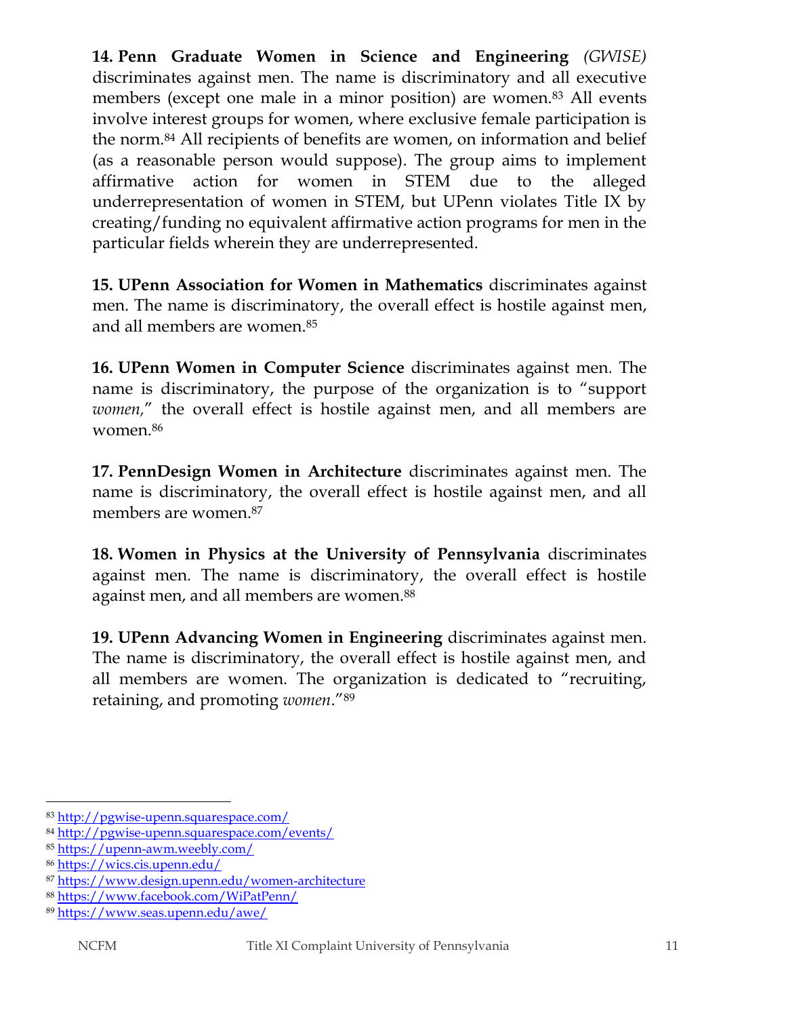**14. Penn Graduate Women in Science and Engineering** *(GWISE)* discriminates against men. The name is discriminatory and all executive members (except one male in a minor position) are women.<sup>83</sup> All events involve interest groups for women, where exclusive female participation is the norm.<sup>84</sup> All recipients of benefits are women, on information and belief (as a reasonable person would suppose). The group aims to implement affirmative action for women in STEM due to the alleged underrepresentation of women in STEM, but UPenn violates Title IX by creating/funding no equivalent affirmative action programs for men in the particular fields wherein they are underrepresented.

**15. UPenn Association for Women in Mathematics** discriminates against men. The name is discriminatory, the overall effect is hostile against men, and all members are women.<sup>85</sup>

**16. UPenn Women in Computer Science** discriminates against men*.* The name is discriminatory, the purpose of the organization is to "support *women,*" the overall effect is hostile against men, and all members are women.<sup>86</sup>

**17. PennDesign Women in Architecture** discriminates against men. The name is discriminatory, the overall effect is hostile against men, and all members are women.<sup>87</sup>

**18. Women in Physics at the University of Pennsylvania** discriminates against men*.* The name is discriminatory, the overall effect is hostile against men, and all members are women.<sup>88</sup>

**19. UPenn Advancing Women in Engineering** discriminates against men. The name is discriminatory, the overall effect is hostile against men, and all members are women. The organization is dedicated to "recruiting, retaining, and promoting *women*."<sup>89</sup>

 $\overline{\phantom{a}}$ <sup>83</sup> <http://pgwise-upenn.squarespace.com/>

<sup>84</sup> <http://pgwise-upenn.squarespace.com/events/>

<sup>85</sup> <https://upenn-awm.weebly.com/>

<sup>86</sup> <https://wics.cis.upenn.edu/>

<sup>87</sup> <https://www.design.upenn.edu/women-architecture>

<sup>88</sup> <https://www.facebook.com/WiPatPenn/>

<sup>89</sup> <https://www.seas.upenn.edu/awe/>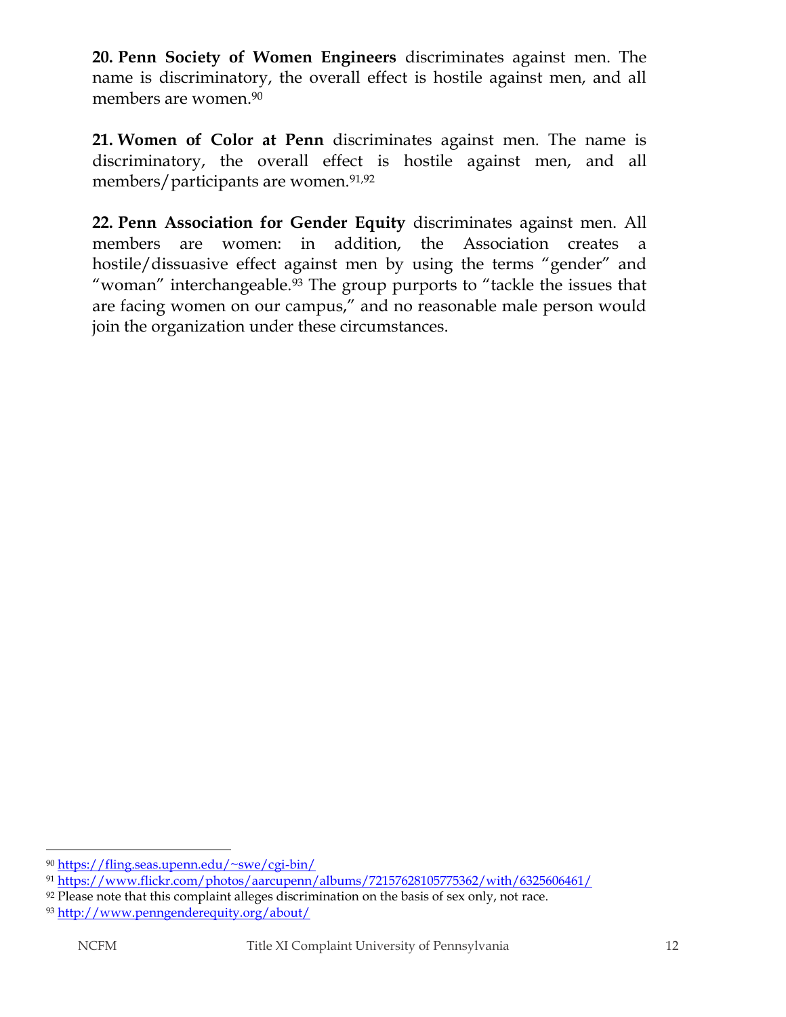**20. Penn Society of Women Engineers** discriminates against men. The name is discriminatory, the overall effect is hostile against men, and all members are women.<sup>90</sup>

**21. Women of Color at Penn** discriminates against men. The name is discriminatory, the overall effect is hostile against men, and all members/participants are women.<sup>91,92</sup>

**22. Penn Association for Gender Equity** discriminates against men. All members are women: in addition, the Association creates a hostile/dissuasive effect against men by using the terms "gender" and "woman" interchangeable.<sup>93</sup> The group purports to "tackle the issues that are facing women on our campus," and no reasonable male person would join the organization under these circumstances.

 $\overline{a}$ <sup>90</sup> <https://fling.seas.upenn.edu/~swe/cgi-bin/>

<sup>91</sup> <https://www.flickr.com/photos/aarcupenn/albums/72157628105775362/with/6325606461/>

 $92$  Please note that this complaint alleges discrimination on the basis of sex only, not race.

<sup>93</sup> <http://www.penngenderequity.org/about/>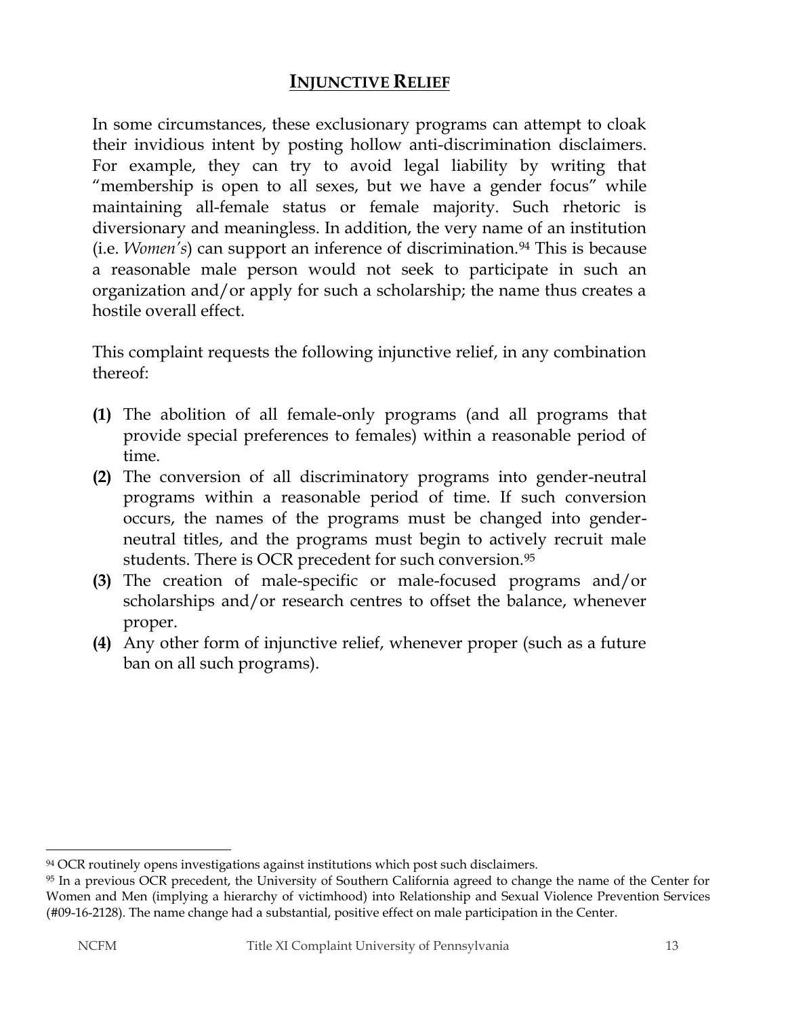# **INJUNCTIVE RELIEF**

In some circumstances, these exclusionary programs can attempt to cloak their invidious intent by posting hollow anti-discrimination disclaimers. For example, they can try to avoid legal liability by writing that "membership is open to all sexes, but we have a gender focus" while maintaining all-female status or female majority. Such rhetoric is diversionary and meaningless. In addition, the very name of an institution (i.e. *Women's*) can support an inference of discrimination.<sup>94</sup> This is because a reasonable male person would not seek to participate in such an organization and/or apply for such a scholarship; the name thus creates a hostile overall effect.

This complaint requests the following injunctive relief, in any combination thereof:

- **(1)** The abolition of all female-only programs (and all programs that provide special preferences to females) within a reasonable period of time.
- **(2)** The conversion of all discriminatory programs into gender-neutral programs within a reasonable period of time. If such conversion occurs, the names of the programs must be changed into genderneutral titles, and the programs must begin to actively recruit male students. There is OCR precedent for such conversion.<sup>95</sup>
- **(3)** The creation of male-specific or male-focused programs and/or scholarships and/or research centres to offset the balance, whenever proper.
- **(4)** Any other form of injunctive relief, whenever proper (such as a future ban on all such programs).

 $\overline{a}$ <sup>94</sup> OCR routinely opens investigations against institutions which post such disclaimers.

<sup>95</sup> In a previous OCR precedent, the University of Southern California agreed to change the name of the Center for Women and Men (implying a hierarchy of victimhood) into Relationship and Sexual Violence Prevention Services (#09-16-2128). The name change had a substantial, positive effect on male participation in the Center.